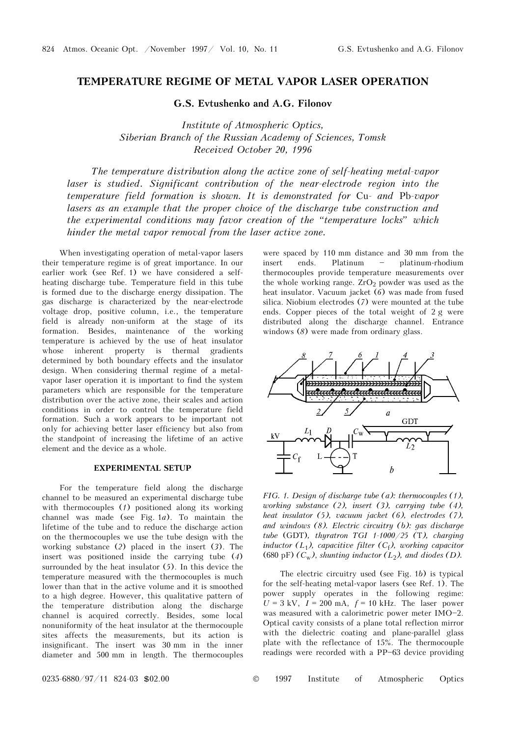## **TEMPERATURE REGIME OF METAL VAPOR LASER OPERATION**

**G.S. Evtushenko and A.G. Filonov** 

*Institute of Atmospheric Optics, Siberian Branch of the Russian Academy of Sciences, Tomsk Received October 20, 1996* 

*The temperature distribution along the active zone of self-heating metal-vapor*  laser is studied. Significant contribution of the near-electrode region into the *temperature field formation is shown. It is demonstrated for* Cu*- and* Pb*-vapor*  lasers as an example that the proper choice of the discharge tube construction and *the experimental conditions may favor creation of the "temperature locks" which hinder the metal vapor removal from the laser active zone.* 

When investigating operation of metal-vapor lasers their temperature regime is of great importance. In our earlier work (see Ref. 1) we have considered a selfheating discharge tube. Temperature field in this tube is formed due to the discharge energy dissipation. The gas discharge is characterized by the near-electrode voltage drop, positive column, i.e., the temperature field is already non-uniform at the stage of its formation. Besides, maintenance of the working temperature is achieved by the use of heat insulator whose inherent property is thermal gradients determined by both boundary effects and the insulator design. When considering thermal regime of a metalvapor laser operation it is important to find the system parameters which are responsible for the temperature distribution over the active zone, their scales and action conditions in order to control the temperature field formation. Such a work appears to be important not only for achieving better laser efficiency but also from the standpoint of increasing the lifetime of an active element and the device as a whole.

## **EXPERIMENTAL SETUP**

For the temperature field along the discharge channel to be measured an experimental discharge tube with thermocouples (*1*) positioned along its working channel was made (see Fig. 1*a*). To maintain the lifetime of the tube and to reduce the discharge action on the thermocouples we use the tube design with the working substance (*2*) placed in the insert (*3*). The insert was positioned inside the carrying tube (*4*) surrounded by the heat insulator (*5*). In this device the temperature measured with the thermocouples is much lower than that in the active volume and it is smoothed to a high degree. However, this qualitative pattern of the temperature distribution along the discharge channel is acquired correctly. Besides, some local nonuniformity of the heat insulator at the thermocouple sites affects the measurements, but its action is insignificant. The insert was 30 mm in the inner diameter and 500 mm in length. The thermocouples

were spaced by 110 mm distance and 30 mm from the insert ends. Platinum - platinum-rhodium thermocouples provide temperature measurements over the whole working range.  $ZrO<sub>2</sub>$  powder was used as the heat insulator. Vacuum jacket (*6*) was made from fused silica. Niobium electrodes (*7*) were mounted at the tube ends. Copper pieces of the total weight of 2 g were distributed along the discharge channel. Entrance windows (*8*) were made from ordinary glass.



*FIG. 1. Design of discharge tube (a): thermocouples (1), working substance (2), insert (3), carrying tube (4), heat insulator (5), vacuum jacket (6), electrodes (7), and windows (8). Electric circuitry (b): gas discharge tube* (GDT)*, thyratron TGI 1-1000/25 (*T*), charging inductor*  $(L_1)$ *, capacitive filter*  $(C_f)$ *, working capacitor* (680 pF)  $(C_w)$ , *shunting inductor*  $(L_2)$ , *and diodes*  $(D)$ .

The electric circuitry used (see Fig. 1*b*) is typical for the self-heating metal-vapor lasers (see Ref. 1). The power supply operates in the following regime:  $U = 3$  kV,  $I = 200$  mA,  $f = 10$  kHz. The laser power was measured with a calorimetric power meter  $IMO-2$ . Optical cavity consists of a plane total reflection mirror with the dielectric coating and plane-parallel glass plate with the reflectance of 15%. The thermocouple readings were recorded with a PP-63 device providing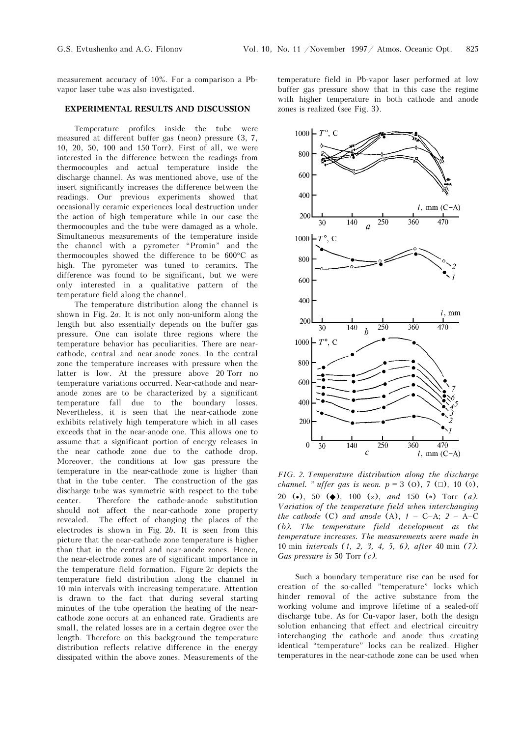measurement accuracy of 10%. For a comparison a Pbvapor laser tube was also investigated.

## **EXPERIMENTAL RESULTS AND DISCUSSION**

Temperature profiles inside the tube were measured at different buffer gas (neon) pressure (3, 7, 10, 20, 50, 100 and 150 Torr). First of all, we were interested in the difference between the readings from thermocouples and actual temperature inside the discharge channel. As was mentioned above, use of the insert significantly increases the difference between the readings. Our previous experiments showed that occasionally ceramic experiences local destruction under the action of high temperature while in our case the thermocouples and the tube were damaged as a whole. Simultaneous measurements of the temperature inside the channel with a pyrometer "Promin" and the thermocouples showed the difference to be 600°C as high. The pyrometer was tuned to ceramics. The difference was found to be significant, but we were only interested in a qualitative pattern of the temperature field along the channel.

The temperature distribution along the channel is shown in Fig. 2*a*. It is not only non-uniform along the length but also essentially depends on the buffer gas pressure. One can isolate three regions where the temperature behavior has peculiarities. There are nearcathode, central and near-anode zones. In the central zone the temperature increases with pressure when the latter is low. At the pressure above 20 Torr no temperature variations occurred. Near-cathode and nearanode zones are to be characterized by a significant temperature fall due to the boundary losses. Nevertheless, it is seen that the near-cathode zone exhibits relatively high temperature which in all cases exceeds that in the near-anode one. This allows one to assume that a significant portion of energy releases in the near cathode zone due to the cathode drop. Moreover, the conditions at low gas pressure the temperature in the near-cathode zone is higher than that in the tube center. The construction of the gas discharge tube was symmetric with respect to the tube center. Therefore the cathode-anode substitution should not affect the near-cathode zone property revealed. The effect of changing the places of the electrodes is shown in Fig. 2*b*. It is seen from this picture that the near-cathode zone temperature is higher than that in the central and near-anode zones. Hence, the near-electrode zones are of significant importance in the temperature field formation. Figure 2*c* depicts the temperature field distribution along the channel in 10 min intervals with increasing temperature. Attention is drawn to the fact that during several starting minutes of the tube operation the heating of the nearcathode zone occurs at an enhanced rate. Gradients are small, the related losses are in a certain degree over the length. Therefore on this background the temperature distribution reflects relative difference in the energy dissipated within the above zones. Measurements of the temperature field in Pb-vapor laser performed at low buffer gas pressure show that in this case the regime with higher temperature in both cathode and anode zones is realized (see Fig. 3).



*FIG. 2. Temperature distribution along the discharge channel. " uffer gas is neon.*  $p = 3$  (0), 7 ( $\Box$ ), 10 (◊), 20 (•), 50 (◆), 100 (×), *and* 150 (\*) Torr *(a)*. *Variation of the temperature field when interchanging the cathode* (C) *and anode* (A),  $1 - C - A$ ;  $2 - A - C$ *(b). The temperature field development as the temperature increases. The measurements were made in*  10 min *intervals (1, 2, 3, 4, 5, 6), after* 40 min *(7). Gas pressure is* 50 Torr *(c).* 

Such a boundary temperature rise can be used for creation of the so-called "temperature" locks which hinder removal of the active substance from the working volume and improve lifetime of a sealed-off discharge tube. As for Cu-vapor laser, both the design solution enhancing that effect and electrical circuitry interchanging the cathode and anode thus creating identical "temperature" locks can be realized. Higher temperatures in the near-cathode zone can be used when